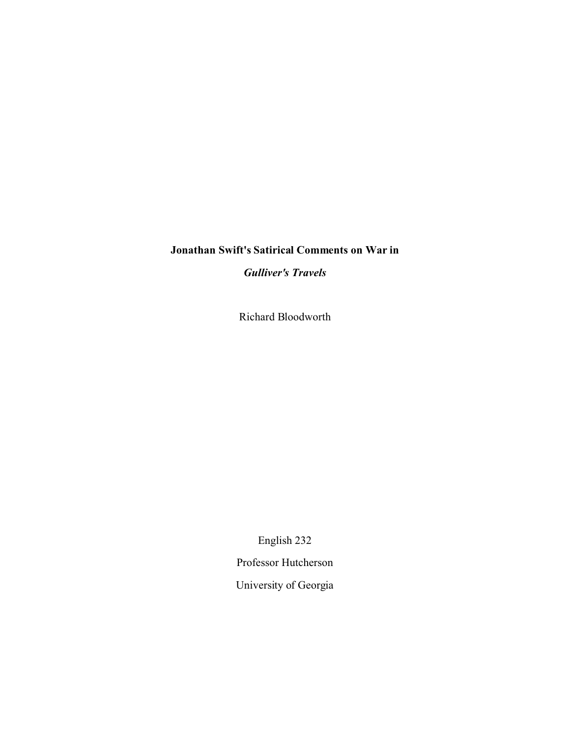## **Jonathan Swift's Satirical Comments on War in**

*Gulliver's Travels*

Richard Bloodworth

English 232

Professor Hutcherson

University of Georgia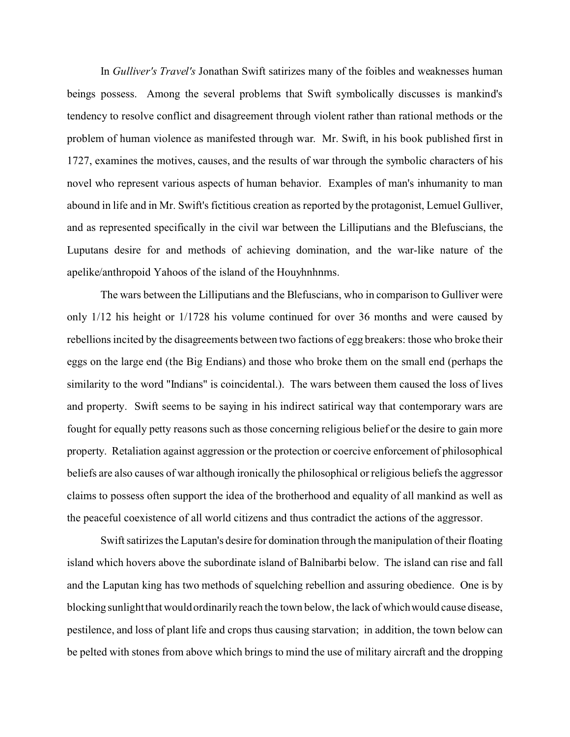In *Gulliver's Travel's* Jonathan Swift satirizes many of the foibles and weaknesses human beings possess. Among the several problems that Swift symbolically discusses is mankind's tendency to resolve conflict and disagreement through violent rather than rational methods or the problem of human violence as manifested through war. Mr. Swift, in his book published first in 1727, examines the motives, causes, and the results of war through the symbolic characters of his novel who represent various aspects of human behavior. Examples of man's inhumanity to man abound in life and in Mr. Swift's fictitious creation as reported by the protagonist, Lemuel Gulliver, and as represented specifically in the civil war between the Lilliputians and the Blefuscians, the Luputans desire for and methods of achieving domination, and the war-like nature of the apelike/anthropoid Yahoos of the island of the Houyhnhnms.

The wars between the Lilliputians and the Blefuscians, who in comparison to Gulliver were only 1/12 his height or 1/1728 his volume continued for over 36 months and were caused by rebellions incited by the disagreements between two factions of egg breakers: those who broke their eggs on the large end (the Big Endians) and those who broke them on the small end (perhaps the similarity to the word "Indians" is coincidental.). The wars between them caused the loss of lives and property. Swift seems to be saying in his indirect satirical way that contemporary wars are fought for equally petty reasons such as those concerning religious belief or the desire to gain more property. Retaliation against aggression or the protection or coercive enforcement of philosophical beliefs are also causes of war although ironically the philosophical or religious beliefs the aggressor claims to possess often support the idea of the brotherhood and equality of all mankind as well as the peaceful coexistence of all world citizens and thus contradict the actions of the aggressor.

Swift satirizes the Laputan's desire for domination through the manipulation of their floating island which hovers above the subordinate island of Balnibarbi below. The island can rise and fall and the Laputan king has two methods of squelching rebellion and assuring obedience. One is by blocking sunlight that would ordinarily reach the town below, the lack of which would cause disease, pestilence, and loss of plant life and crops thus causing starvation; in addition, the town below can be pelted with stones from above which brings to mind the use of military aircraft and the dropping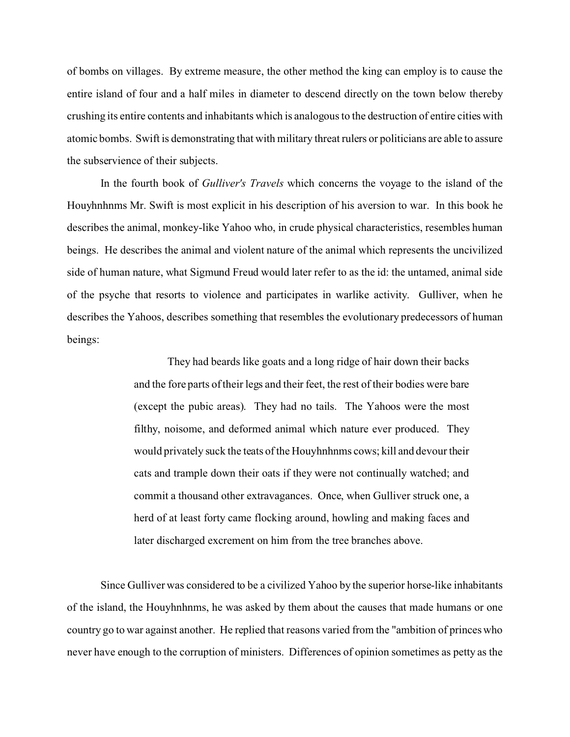of bombs on villages. By extreme measure, the other method the king can employ is to cause the entire island of four and a half miles in diameter to descend directly on the town below thereby crushing its entire contents and inhabitants which is analogous to the destruction of entire cities with atomic bombs. Swift is demonstrating that with military threat rulers or politicians are able to assure the subservience of their subjects.

In the fourth book of *Gulliver's Travels* which concerns the voyage to the island of the Houyhnhnms Mr. Swift is most explicit in his description of his aversion to war. In this book he describes the animal, monkey-like Yahoo who, in crude physical characteristics, resembles human beings. He describes the animal and violent nature of the animal which represents the uncivilized side of human nature, what Sigmund Freud would later refer to as the id: the untamed, animal side of the psyche that resorts to violence and participates in warlike activity. Gulliver, when he describes the Yahoos, describes something that resembles the evolutionary predecessors of human beings:

> They had beards like goats and a long ridge of hair down their backs and the fore parts of their legs and their feet, the rest of their bodies were bare (except the pubic areas). They had no tails. The Yahoos were the most filthy, noisome, and deformed animal which nature ever produced. They would privately suck the teats of the Houyhnhnms cows; kill and devour their cats and trample down their oats if they were not continually watched; and commit a thousand other extravagances. Once, when Gulliver struck one, a herd of at least forty came flocking around, howling and making faces and later discharged excrement on him from the tree branches above.

Since Gulliver was considered to be a civilized Yahoo by the superior horse-like inhabitants of the island, the Houyhnhnms, he was asked by them about the causes that made humans or one country go to war against another. He replied that reasons varied from the "ambition of princes who never have enough to the corruption of ministers. Differences of opinion sometimes as petty as the